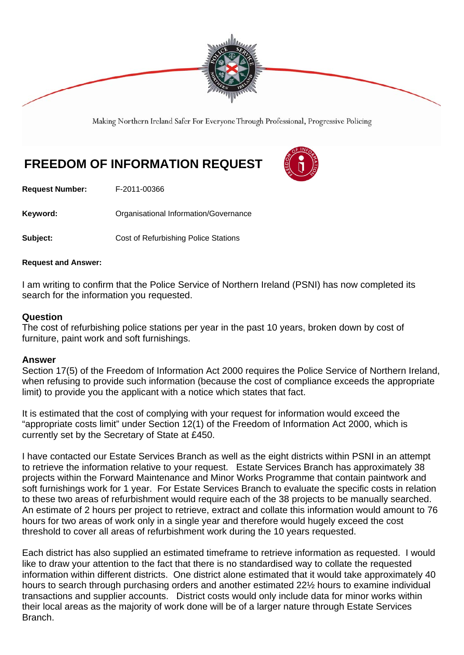

Making Northern Ireland Safer For Everyone Through Professional, Progressive Policing

## **FREEDOM OF INFORMATION REQUEST**

**Request Number:** F-2011-00366

Keyword: **Communists** Organisational Information/Governance

**Subject: Cost of Refurbishing Police Stations** 

## **Request and Answer:**

I am writing to confirm that the Police Service of Northern Ireland (PSNI) has now completed its search for the information you requested.

## **Question**

The cost of refurbishing police stations per year in the past 10 years, broken down by cost of furniture, paint work and soft furnishings.

## **Answer**

Section 17(5) of the Freedom of Information Act 2000 requires the Police Service of Northern Ireland, when refusing to provide such information (because the cost of compliance exceeds the appropriate limit) to provide you the applicant with a notice which states that fact.

It is estimated that the cost of complying with your request for information would exceed the "appropriate costs limit" under Section 12(1) of the Freedom of Information Act 2000, which is currently set by the Secretary of State at £450.

I have contacted our Estate Services Branch as well as the eight districts within PSNI in an attempt to retrieve the information relative to your request. Estate Services Branch has approximately 38 projects within the Forward Maintenance and Minor Works Programme that contain paintwork and soft furnishings work for 1 year. For Estate Services Branch to evaluate the specific costs in relation to these two areas of refurbishment would require each of the 38 projects to be manually searched. An estimate of 2 hours per project to retrieve, extract and collate this information would amount to 76 hours for two areas of work only in a single year and therefore would hugely exceed the cost threshold to cover all areas of refurbishment work during the 10 years requested.

Each district has also supplied an estimated timeframe to retrieve information as requested. I would like to draw your attention to the fact that there is no standardised way to collate the requested information within different districts. One district alone estimated that it would take approximately 40 hours to search through purchasing orders and another estimated 22½ hours to examine individual transactions and supplier accounts. District costs would only include data for minor works within their local areas as the majority of work done will be of a larger nature through Estate Services Branch.